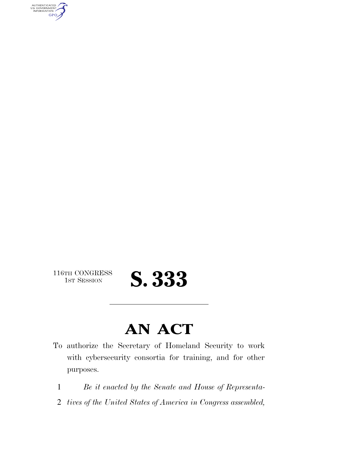AUTHENTICATED<br>U.S. GOVERNMENT<br>INFORMATION **GPO** 

116TH CONGRESS<br>1st Session

## 1ST SESSION **S. 333**

### **AN ACT**

- To authorize the Secretary of Homeland Security to work with cybersecurity consortia for training, and for other purposes.
	- 1 *Be it enacted by the Senate and House of Representa-*
	- 2 *tives of the United States of America in Congress assembled,*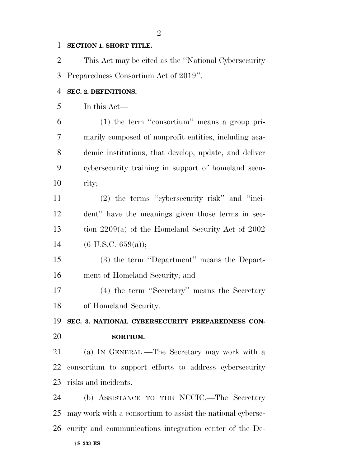#### **SECTION 1. SHORT TITLE.**

 This Act may be cited as the ''National Cybersecurity Preparedness Consortium Act of 2019''. **SEC. 2. DEFINITIONS.**  In this Act— (1) the term ''consortium'' means a group pri-marily composed of nonprofit entities, including aca-

 demic institutions, that develop, update, and deliver cybersecurity training in support of homeland secu-rity;

 (2) the terms ''cybersecurity risk'' and ''inci- dent'' have the meanings given those terms in sec- tion 2209(a) of the Homeland Security Act of 2002 14 (6 U.S.C. 659(a));

 (3) the term ''Department'' means the Depart-ment of Homeland Security; and

 (4) the term ''Secretary'' means the Secretary of Homeland Security.

 **SEC. 3. NATIONAL CYBERSECURITY PREPAREDNESS CON-SORTIUM.** 

 (a) IN GENERAL.—The Secretary may work with a consortium to support efforts to address cybersecurity risks and incidents.

†**S 333 ES** (b) ASSISTANCE TO THE NCCIC.—The Secretary may work with a consortium to assist the national cyberse-curity and communications integration center of the De-

####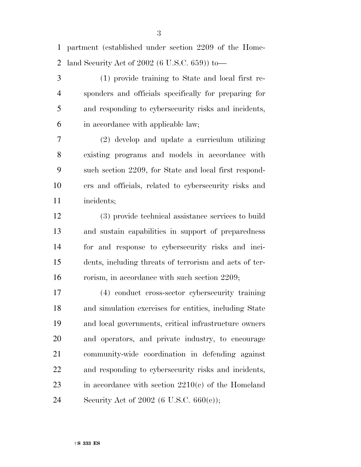partment (established under section 2209 of the Home-land Security Act of 2002 (6 U.S.C. 659)) to—

 (1) provide training to State and local first re- sponders and officials specifically for preparing for and responding to cybersecurity risks and incidents, in accordance with applicable law;

 (2) develop and update a curriculum utilizing existing programs and models in accordance with such section 2209, for State and local first respond- ers and officials, related to cybersecurity risks and incidents;

 (3) provide technical assistance services to build and sustain capabilities in support of preparedness for and response to cybersecurity risks and inci- dents, including threats of terrorism and acts of ter-16 rorism, in accordance with such section 2209;

 (4) conduct cross-sector cybersecurity training and simulation exercises for entities, including State and local governments, critical infrastructure owners and operators, and private industry, to encourage community-wide coordination in defending against and responding to cybersecurity risks and incidents, in accordance with section 2210(c) of the Homeland Security Act of 2002 (6 U.S.C. 660(c));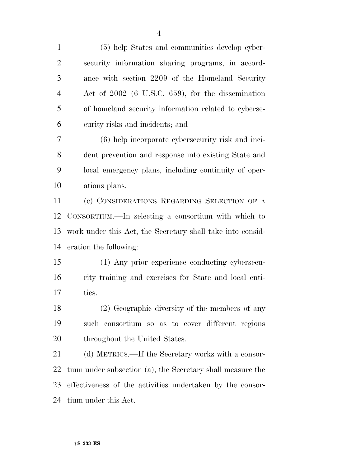(5) help States and communities develop cyber- security information sharing programs, in accord- ance with section 2209 of the Homeland Security Act of 2002 (6 U.S.C. 659), for the dissemination of homeland security information related to cyberse-curity risks and incidents; and

 (6) help incorporate cybersecurity risk and inci- dent prevention and response into existing State and local emergency plans, including continuity of oper-ations plans.

 (c) CONSIDERATIONS REGARDING SELECTION OF A CONSORTIUM.—In selecting a consortium with which to work under this Act, the Secretary shall take into consid-eration the following:

 (1) Any prior experience conducting cybersecu- rity training and exercises for State and local enti-ties.

 (2) Geographic diversity of the members of any such consortium so as to cover different regions 20 throughout the United States.

 (d) METRICS.—If the Secretary works with a consor- tium under subsection (a), the Secretary shall measure the effectiveness of the activities undertaken by the consor-tium under this Act.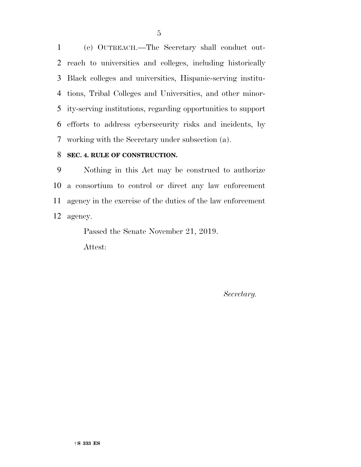(e) OUTREACH.—The Secretary shall conduct out- reach to universities and colleges, including historically Black colleges and universities, Hispanic-serving institu- tions, Tribal Colleges and Universities, and other minor- ity-serving institutions, regarding opportunities to support efforts to address cybersecurity risks and incidents, by working with the Secretary under subsection (a).

#### **SEC. 4. RULE OF CONSTRUCTION.**

 Nothing in this Act may be construed to authorize a consortium to control or direct any law enforcement agency in the exercise of the duties of the law enforcement agency.

Passed the Senate November 21, 2019.

Attest:

*Secretary.*